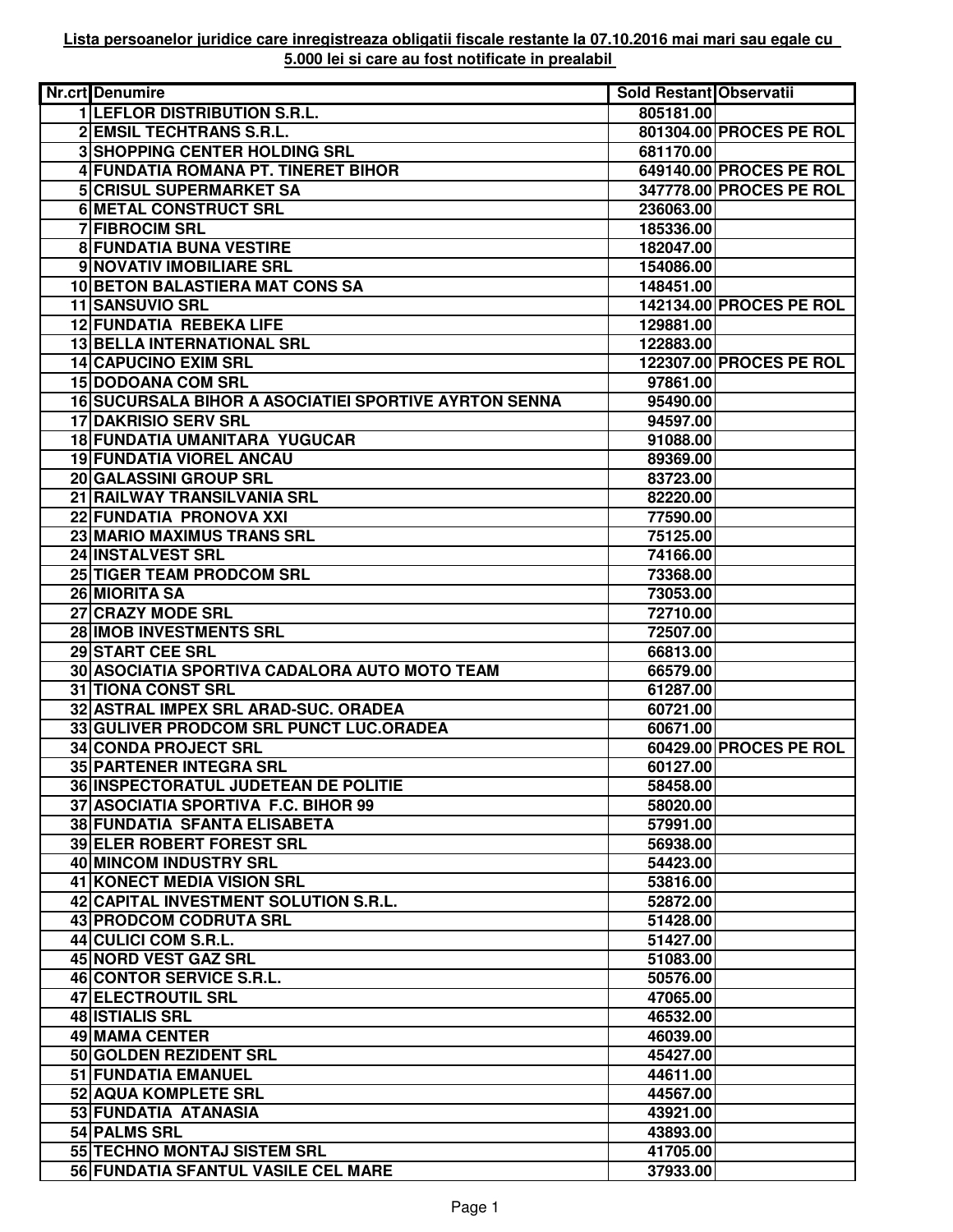| <b>Nr.crt</b> Denumire                                       | Sold Restant Observatii |                         |
|--------------------------------------------------------------|-------------------------|-------------------------|
| <b>1 LEFLOR DISTRIBUTION S.R.L.</b>                          | 805181.00               |                         |
| <b>2 EMSIL TECHTRANS S.R.L.</b>                              |                         | 801304.00 PROCES PE ROL |
| <b>3 SHOPPING CENTER HOLDING SRL</b>                         | 681170.00               |                         |
| 4 FUNDATIA ROMANA PT. TINERET BIHOR                          |                         | 649140.00 PROCES PE ROL |
| <b>5 CRISUL SUPERMARKET SA</b>                               |                         | 347778.00 PROCES PE ROL |
| <b>6 METAL CONSTRUCT SRL</b>                                 | 236063.00               |                         |
| <b>7 FIBROCIM SRL</b>                                        | 185336.00               |                         |
| <b>8 FUNDATIA BUNA VESTIRE</b>                               | 182047.00               |                         |
| 9 NOVATIV IMOBILIARE SRL                                     | 154086.00               |                         |
| 10 BETON BALASTIERA MAT CONS SA                              | 148451.00               |                         |
| 11 SANSUVIO SRL                                              |                         | 142134.00 PROCES PE ROL |
| 12 FUNDATIA REBEKA LIFE                                      | 129881.00               |                         |
| 13 BELLA INTERNATIONAL SRL                                   | 122883.00               |                         |
| 14 CAPUCINO EXIM SRL                                         |                         | 122307.00 PROCES PE ROL |
| <b>15 DODOANA COM SRL</b>                                    | 97861.00                |                         |
| <b>16 SUCURSALA BIHOR A ASOCIATIEI SPORTIVE AYRTON SENNA</b> |                         |                         |
| <b>17 DAKRISIO SERV SRL</b>                                  | 95490.00                |                         |
|                                                              | 94597.00                |                         |
| 18 FUNDATIA UMANITARA YUGUCAR                                | 91088.00                |                         |
| <b>19 FUNDATIA VIOREL ANCAU</b>                              | 89369.00                |                         |
| 20 GALASSINI GROUP SRL                                       | 83723.00                |                         |
| 21 RAILWAY TRANSILVANIA SRL                                  | 82220.00                |                         |
| 22 FUNDATIA PRONOVA XXI                                      | 77590.00                |                         |
| 23 MARIO MAXIMUS TRANS SRL                                   | 75125.00                |                         |
| 24 INSTALVEST SRL                                            | 74166.00                |                         |
| <b>25 TIGER TEAM PRODCOM SRL</b>                             | 73368.00                |                         |
| 26 MIORITA SA                                                | 73053.00                |                         |
| 27 CRAZY MODE SRL                                            | 72710.00                |                         |
| 28 IMOB INVESTMENTS SRL                                      | 72507.00                |                         |
| 29 START CEE SRL                                             | 66813.00                |                         |
| 30 ASOCIATIA SPORTIVA CADALORA AUTO MOTO TEAM                | 66579.00                |                         |
| <b>31 TIONA CONST SRL</b>                                    | 61287.00                |                         |
| 32 ASTRAL IMPEX SRL ARAD-SUC. ORADEA                         | 60721.00                |                         |
| 33 GULIVER PRODCOM SRL PUNCT LUC.ORADEA                      | 60671.00                |                         |
| 34 CONDA PROJECT SRL                                         |                         | 60429.00 PROCES PE ROL  |
| 35 PARTENER INTEGRA SRL                                      | 60127.00                |                         |
| <b>36 INSPECTORATUL JUDETEAN DE POLITIE</b>                  | 58458.00                |                         |
| 37 ASOCIATIA SPORTIVA F.C. BIHOR 99                          | 58020.00                |                         |
| <b>38 FUNDATIA SFANTA ELISABETA</b>                          | 57991.00                |                         |
| 39 ELER ROBERT FOREST SRL                                    | 56938.00                |                         |
| <b>40 MINCOM INDUSTRY SRL</b>                                | 54423.00                |                         |
| 41 KONECT MEDIA VISION SRL                                   | 53816.00                |                         |
| 42 CAPITAL INVESTMENT SOLUTION S.R.L.                        | 52872.00                |                         |
| 43 PRODCOM CODRUTA SRL                                       | 51428.00                |                         |
| 44 CULICI COM S.R.L.                                         | 51427.00                |                         |
| 45 NORD VEST GAZ SRL                                         | 51083.00                |                         |
| 46 CONTOR SERVICE S.R.L.                                     | 50576.00                |                         |
| 47 ELECTROUTIL SRL                                           | 47065.00                |                         |
| 48 <b>ISTIALIS SRL</b>                                       | 46532.00                |                         |
| 49 MAMA CENTER                                               | 46039.00                |                         |
| 50 GOLDEN REZIDENT SRL                                       | 45427.00                |                         |
| 51 FUNDATIA EMANUEL                                          | 44611.00                |                         |
| <b>52 AQUA KOMPLETE SRL</b>                                  | 44567.00                |                         |
| 53 FUNDATIA ATANASIA                                         | 43921.00                |                         |
| 54 PALMS SRL                                                 | 43893.00                |                         |
| 55 TECHNO MONTAJ SISTEM SRL                                  | 41705.00                |                         |
| 56 FUNDATIA SFANTUL VASILE CEL MARE                          | 37933.00                |                         |
|                                                              |                         |                         |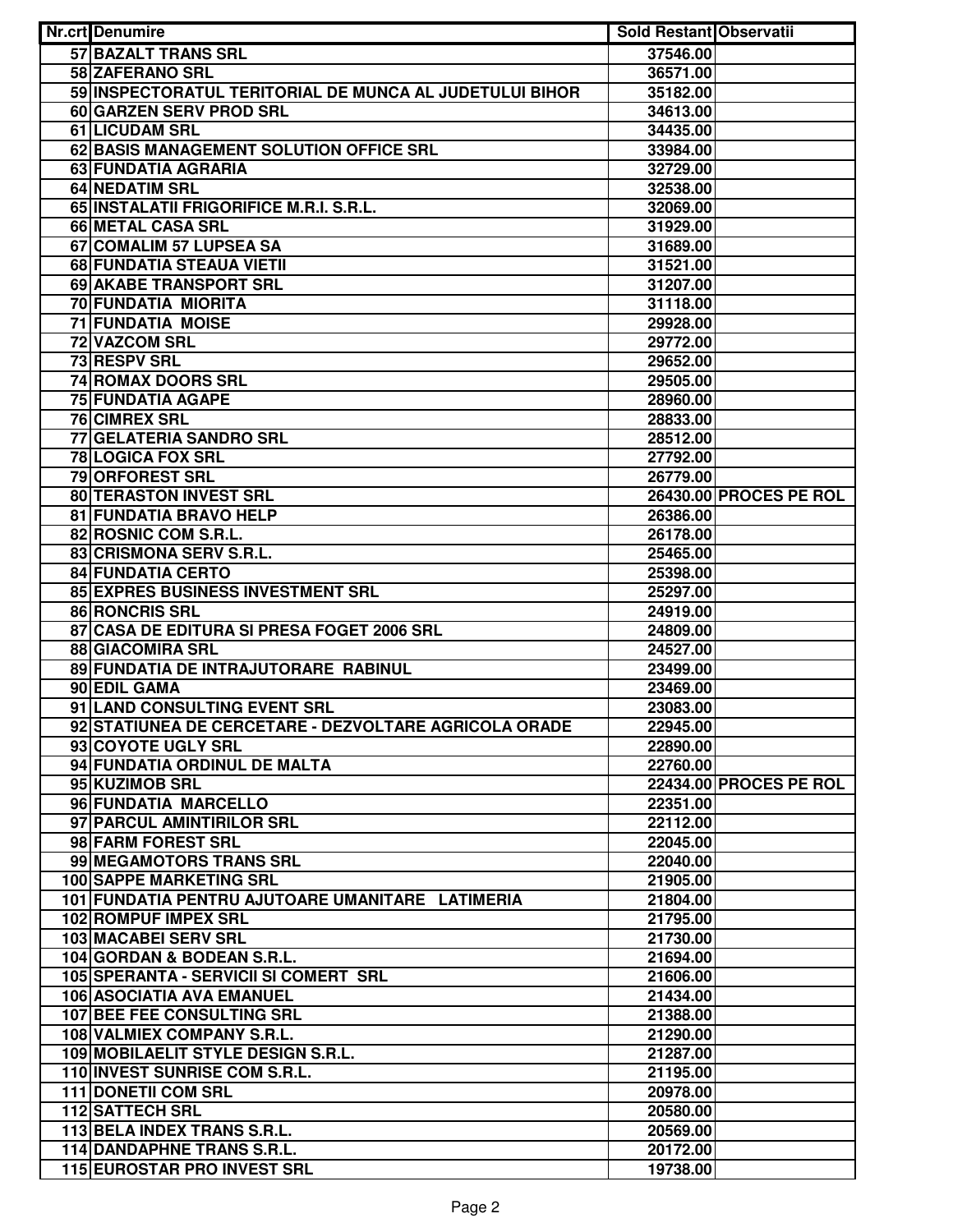| Nr.crt Denumire                                         | <b>Sold Restant Observatii</b> |                        |
|---------------------------------------------------------|--------------------------------|------------------------|
| <b>57 BAZALT TRANS SRL</b>                              | 37546.00                       |                        |
| 58 ZAFERANO SRL                                         | 36571.00                       |                        |
| 59 INSPECTORATUL TERITORIAL DE MUNCA AL JUDETULUI BIHOR | 35182.00                       |                        |
| 60 GARZEN SERV PROD SRL                                 | 34613.00                       |                        |
| 61 LICUDAM SRL                                          | 34435.00                       |                        |
| 62 BASIS MANAGEMENT SOLUTION OFFICE SRL                 | 33984.00                       |                        |
| 63 FUNDATIA AGRARIA                                     | 32729.00                       |                        |
| <b>64 NEDATIM SRL</b>                                   | 32538.00                       |                        |
| 65 INSTALATII FRIGORIFICE M.R.I. S.R.L.                 | 32069.00                       |                        |
| 66 METAL CASA SRL                                       | 31929.00                       |                        |
| 67 COMALIM 57 LUPSEA SA                                 | 31689.00                       |                        |
| 68 FUNDATIA STEAUA VIETII                               | 31521.00                       |                        |
| 69 AKABE TRANSPORT SRL                                  | 31207.00                       |                        |
| 70 FUNDATIA MIORITA                                     | 31118.00                       |                        |
| <b>71 FUNDATIA MOISE</b>                                | 29928.00                       |                        |
| 72 VAZCOM SRL                                           | 29772.00                       |                        |
| 73 RESPV SRL                                            | 29652.00                       |                        |
| 74 ROMAX DOORS SRL                                      | 29505.00                       |                        |
| <b>75 FUNDATIA AGAPE</b>                                | 28960.00                       |                        |
| <b>76 CIMREX SRL</b>                                    | 28833.00                       |                        |
| 77 GELATERIA SANDRO SRL                                 | 28512.00                       |                        |
| 78 LOGICA FOX SRL                                       | 27792.00                       |                        |
| 79 ORFOREST SRL                                         | 26779.00                       |                        |
| 80 TERASTON INVEST SRL                                  |                                | 26430.00 PROCES PE ROL |
| 81 FUNDATIA BRAVO HELP                                  | 26386.00                       |                        |
| 82 ROSNIC COM S.R.L.                                    | 26178.00                       |                        |
| 83 CRISMONA SERV S.R.L.                                 | 25465.00                       |                        |
| <b>84 FUNDATIA CERTO</b>                                | 25398.00                       |                        |
| 85 EXPRES BUSINESS INVESTMENT SRL                       | 25297.00                       |                        |
| 86 RONCRIS SRL                                          | 24919.00                       |                        |
| 87 CASA DE EDITURA SI PRESA FOGET 2006 SRL              | 24809.00                       |                        |
| <b>88 GIACOMIRA SRL</b>                                 | 24527.00                       |                        |
| 89 FUNDATIA DE INTRAJUTORARE RABINUL                    | 23499.00                       |                        |
| 90 EDIL GAMA                                            | 23469.00                       |                        |
| 91 LAND CONSULTING EVENT SRL                            | 23083.00                       |                        |
| 92 STATIUNEA DE CERCETARE - DEZVOLTARE AGRICOLA ORADE   | 22945.00                       |                        |
| 93 COYOTE UGLY SRL                                      | 22890.00                       |                        |
| 94 FUNDATIA ORDINUL DE MALTA                            | 22760.00                       |                        |
| 95 KUZIMOB SRL                                          |                                | 22434.00 PROCES PE ROL |
| 96 FUNDATIA MARCELLO                                    | 22351.00                       |                        |
| 97 PARCUL AMINTIRILOR SRL                               | 22112.00                       |                        |
| 98 FARM FOREST SRL                                      | 22045.00                       |                        |
| 99 MEGAMOTORS TRANS SRL                                 | 22040.00                       |                        |
| <b>100 SAPPE MARKETING SRL</b>                          | 21905.00                       |                        |
| 101 FUNDATIA PENTRU AJUTOARE UMANITARE LATIMERIA        | 21804.00                       |                        |
| 102 ROMPUF IMPEX SRL                                    | 21795.00                       |                        |
| 103 MACABEI SERV SRL                                    | 21730.00                       |                        |
| 104 GORDAN & BODEAN S.R.L.                              | 21694.00                       |                        |
| 105 SPERANTA - SERVICII SI COMERT SRL                   | 21606.00                       |                        |
| <b>106 ASOCIATIA AVA EMANUEL</b>                        | 21434.00                       |                        |
| 107 BEE FEE CONSULTING SRL                              | 21388.00                       |                        |
| 108 VALMIEX COMPANY S.R.L.                              | 21290.00                       |                        |
| 109 MOBILAELIT STYLE DESIGN S.R.L.                      | 21287.00                       |                        |
| 110 INVEST SUNRISE COM S.R.L.                           | 21195.00                       |                        |
| <b>111 DONETII COM SRL</b>                              | 20978.00                       |                        |
| 112 SATTECH SRL                                         | 20580.00                       |                        |
| 113 BELA INDEX TRANS S.R.L.                             | 20569.00                       |                        |
| 114 DANDAPHNE TRANS S.R.L.                              | 20172.00                       |                        |
| <b>115 EUROSTAR PRO INVEST SRL</b>                      | 19738.00                       |                        |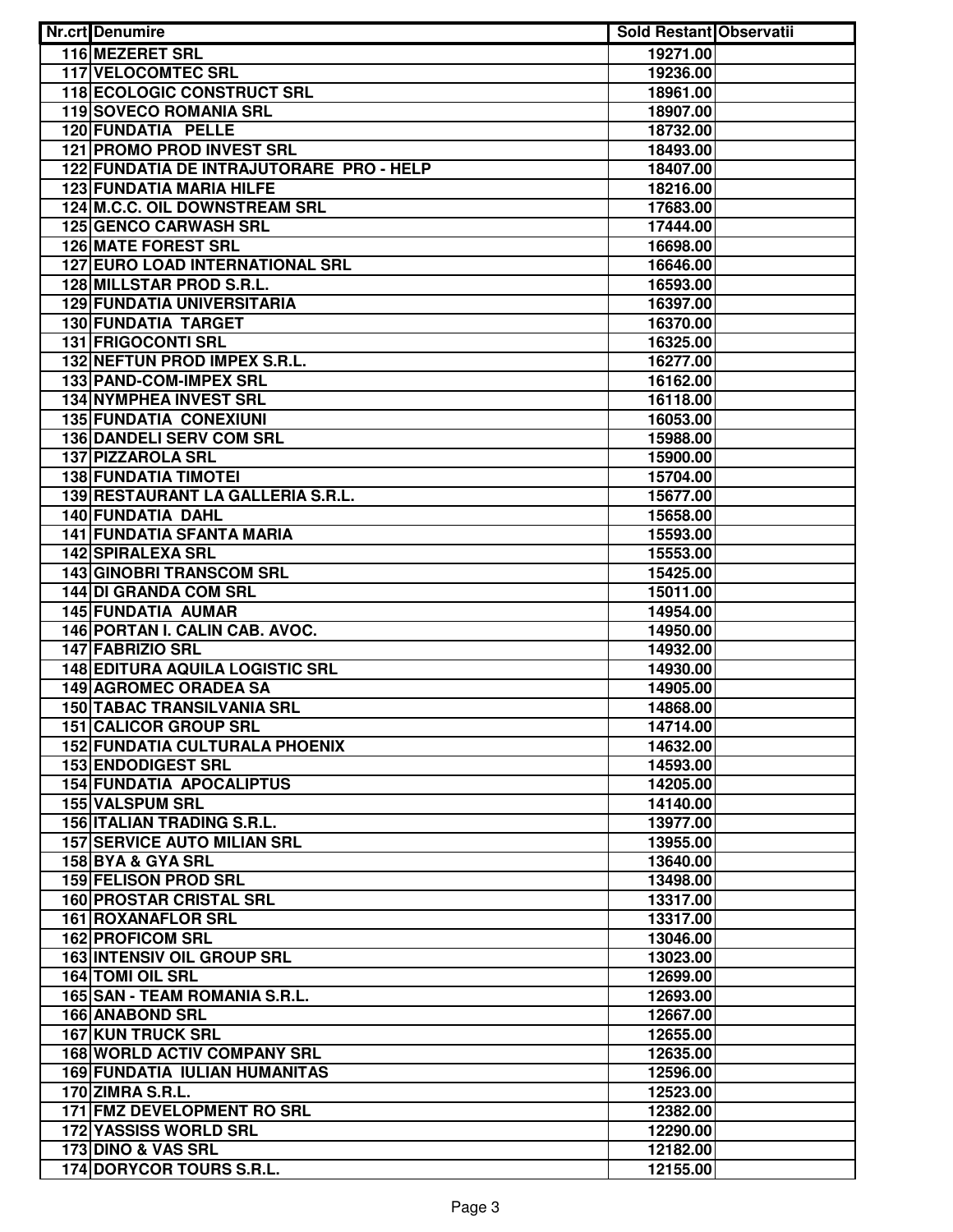| <b>Nr.crt</b> Denumire                      | <b>Sold Restant Observatii</b> |  |
|---------------------------------------------|--------------------------------|--|
| 116 MEZERET SRL                             | 19271.00                       |  |
| <b>117 VELOCOMTEC SRL</b>                   | 19236.00                       |  |
| <b>118 ECOLOGIC CONSTRUCT SRL</b>           | 18961.00                       |  |
| 119 SOVECO ROMANIA SRL                      | 18907.00                       |  |
| 120 FUNDATIA PELLE                          | 18732.00                       |  |
| <b>121 PROMO PROD INVEST SRL</b>            | 18493.00                       |  |
| 122 FUNDATIA DE INTRAJUTORARE PRO - HELP    | 18407.00                       |  |
| <b>123 FUNDATIA MARIA HILFE</b>             | 18216.00                       |  |
| 124 M.C.C. OIL DOWNSTREAM SRL               | 17683.00                       |  |
| <b>125 GENCO CARWASH SRL</b>                | 17444.00                       |  |
| <b>126 MATE FOREST SRL</b>                  | 16698.00                       |  |
| <b>127 EURO LOAD INTERNATIONAL SRL</b>      | 16646.00                       |  |
| 128 MILLSTAR PROD S.R.L.                    | 16593.00                       |  |
| <b>129 FUNDATIA UNIVERSITARIA</b>           | 16397.00                       |  |
| <b>130 FUNDATIA TARGET</b>                  | 16370.00                       |  |
| 131 FRIGOCONTI SRL                          | 16325.00                       |  |
| 132 NEFTUN PROD IMPEX S.R.L.                | 16277.00                       |  |
| 133 PAND-COM-IMPEX SRL                      | 16162.00                       |  |
| 134 NYMPHEA INVEST SRL                      | 16118.00                       |  |
| <b>135 FUNDATIA CONEXIUNI</b>               | 16053.00                       |  |
| <b>136 DANDELI SERV COM SRL</b>             | 15988.00                       |  |
| <b>137 PIZZAROLA SRL</b>                    | 15900.00                       |  |
| <b>138 FUNDATIA TIMOTEI</b>                 | 15704.00                       |  |
| 139 RESTAURANT LA GALLERIA S.R.L.           | 15677.00                       |  |
| 140 FUNDATIA DAHL                           | 15658.00                       |  |
| <b>141 FUNDATIA SFANTA MARIA</b>            | 15593.00                       |  |
| <b>142 SPIRALEXA SRL</b>                    | 15553.00                       |  |
| <b>143 GINOBRI TRANSCOM SRL</b>             | 15425.00                       |  |
| 144 DI GRANDA COM SRL                       | 15011.00                       |  |
| <b>145 FUNDATIA AUMAR</b>                   | 14954.00                       |  |
| 146 PORTAN I. CALIN CAB. AVOC.              | 14950.00                       |  |
| 147 FABRIZIO SRL                            | 14932.00                       |  |
| <b>148 EDITURA AQUILA LOGISTIC SRL</b>      | 14930.00                       |  |
| <b>149 AGROMEC ORADEA SA</b>                | 14905.00                       |  |
| <b>150 TABAC TRANSILVANIA SRL</b>           | 14868.00                       |  |
| <b>151 CALICOR GROUP SRL</b>                | 14714.00                       |  |
| <b>152 FUNDATIA CULTURALA PHOENIX</b>       | 14632.00                       |  |
| <b>153 ENDODIGEST SRL</b>                   | 14593.00                       |  |
| <b>154 FUNDATIA APOCALIPTUS</b>             | 14205.00                       |  |
| <b>155 VALSPUM SRL</b>                      | 14140.00                       |  |
| <b>156 ITALIAN TRADING S.R.L.</b>           | 13977.00                       |  |
| <b>157 SERVICE AUTO MILIAN SRL</b>          | 13955.00                       |  |
| 158 BYA & GYA SRL                           | 13640.00                       |  |
| 159 FELISON PROD SRL                        | 13498.00                       |  |
| <b>160 PROSTAR CRISTAL SRL</b>              | 13317.00                       |  |
| 161 ROXANAFLOR SRL                          | 13317.00                       |  |
| <b>162 PROFICOM SRL</b>                     | 13046.00                       |  |
| <b>163 INTENSIV OIL GROUP SRL</b>           | 13023.00                       |  |
| 164 TOMI OIL SRL                            | 12699.00                       |  |
| 165 SAN - TEAM ROMANIA S.R.L.               | 12693.00                       |  |
| 166 ANABOND SRL<br><b>167 KUN TRUCK SRL</b> | 12667.00                       |  |
| <b>168 WORLD ACTIV COMPANY SRL</b>          | 12655.00                       |  |
| <b>169 FUNDATIA IULIAN HUMANITAS</b>        | 12635.00<br>12596.00           |  |
| 170 ZIMRA S.R.L.                            | 12523.00                       |  |
| 171 FMZ DEVELOPMENT RO SRL                  | 12382.00                       |  |
| <b>172 YASSISS WORLD SRL</b>                | 12290.00                       |  |
| 173 DINO & VAS SRL                          | 12182.00                       |  |
| 174 DORYCOR TOURS S.R.L.                    | 12155.00                       |  |
|                                             |                                |  |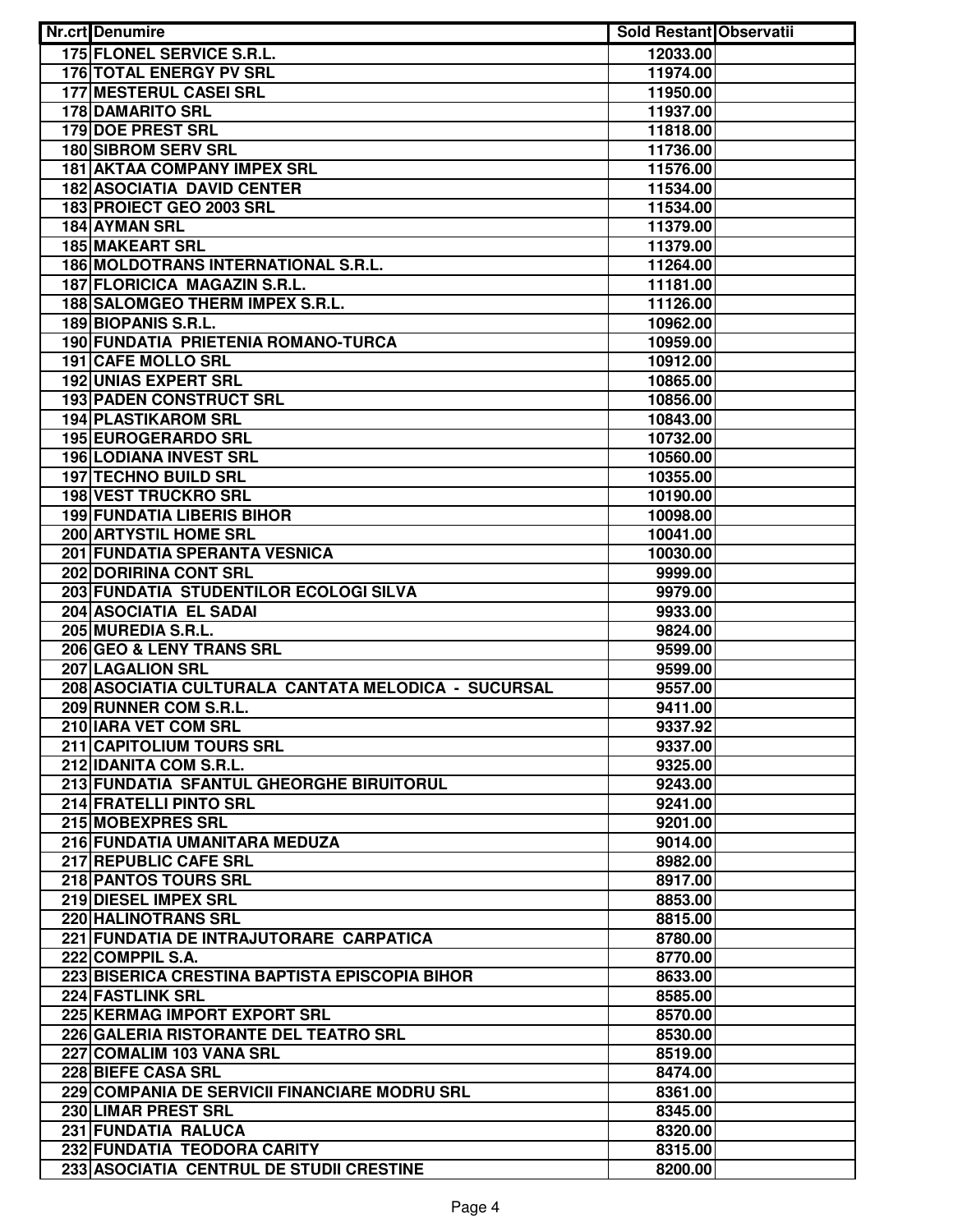| <b>Nr.crt</b> Denumire                                                | Sold Restant Observatii |  |
|-----------------------------------------------------------------------|-------------------------|--|
| 175 FLONEL SERVICE S.R.L.                                             | 12033.00                |  |
| <b>176 TOTAL ENERGY PV SRL</b>                                        | 11974.00                |  |
| <b>177 MESTERUL CASEI SRL</b>                                         | 11950.00                |  |
| <b>178 DAMARITO SRL</b>                                               | 11937.00                |  |
| <b>179 DOE PREST SRL</b>                                              | 11818.00                |  |
| <b>180 SIBROM SERV SRL</b>                                            | 11736.00                |  |
| <b>181 AKTAA COMPANY IMPEX SRL</b>                                    | 11576.00                |  |
| <b>182 ASOCIATIA DAVID CENTER</b>                                     | 11534.00                |  |
| 183 PROIECT GEO 2003 SRL                                              | 11534.00                |  |
| 184 AYMAN SRL                                                         | 11379.00                |  |
| <b>185 MAKEART SRL</b>                                                | 11379.00                |  |
| 186 MOLDOTRANS INTERNATIONAL S.R.L.                                   | 11264.00                |  |
| 187 FLORICICA MAGAZIN S.R.L.                                          | 11181.00                |  |
| 188 SALOMGEO THERM IMPEX S.R.L.                                       | 11126.00                |  |
| 189 BIOPANIS S.R.L.                                                   | 10962.00                |  |
| 190 FUNDATIA PRIETENIA ROMANO-TURCA                                   | 10959.00                |  |
| <b>191 CAFE MOLLO SRL</b>                                             | 10912.00                |  |
| <b>192 UNIAS EXPERT SRL</b>                                           | 10865.00                |  |
| 193 PADEN CONSTRUCT SRL                                               | 10856.00                |  |
| <b>194 PLASTIKAROM SRL</b>                                            | 10843.00                |  |
| 195 EUROGERARDO SRL                                                   | 10732.00                |  |
| <b>196 LODIANA INVEST SRL</b>                                         | 10560.00                |  |
| 197 TECHNO BUILD SRL                                                  | 10355.00                |  |
| <b>198 VEST TRUCKRO SRL</b>                                           | 10190.00                |  |
| <b>199 FUNDATIA LIBERIS BIHOR</b>                                     | 10098.00                |  |
| 200 ARTYSTIL HOME SRL                                                 | 10041.00                |  |
| 201 FUNDATIA SPERANTA VESNICA                                         | 10030.00                |  |
| 202 DORIRINA CONT SRL                                                 | 9999.00                 |  |
| 203 FUNDATIA STUDENTILOR ECOLOGI SILVA                                | 9979.00                 |  |
| 204 ASOCIATIA EL SADAI                                                | 9933.00                 |  |
| 205 MUREDIA S.R.L.                                                    | 9824.00                 |  |
| 206 GEO & LENY TRANS SRL                                              | 9599.00                 |  |
| <b>207 LAGALION SRL</b>                                               | 9599.00                 |  |
| 208 ASOCIATIA CULTURALA CANTATA MELODICA - SUCURSAL                   | 9557.00                 |  |
| 209 RUNNER COM S.R.L.                                                 | 9411.00                 |  |
| 210 IARA VET COM SRL                                                  | 9337.92                 |  |
| 211 CAPITOLIUM TOURS SRL                                              | 9337.00                 |  |
| 212 IDANITA COM S.R.L.                                                | 9325.00                 |  |
| 213 FUNDATIA SFANTUL GHEORGHE BIRUITORUL                              | 9243.00                 |  |
| 214 FRATELLI PINTO SRL                                                | 9241.00                 |  |
| 215 MOBEXPRES SRL                                                     | 9201.00                 |  |
| 216 FUNDATIA UMANITARA MEDUZA                                         | 9014.00                 |  |
| 217 REPUBLIC CAFE SRL                                                 | 8982.00                 |  |
| 218 PANTOS TOURS SRL                                                  | 8917.00                 |  |
| 219 DIESEL IMPEX SRL                                                  | 8853.00                 |  |
| 220 HALINOTRANS SRL                                                   | 8815.00                 |  |
| 221 FUNDATIA DE INTRAJUTORARE CARPATICA                               | 8780.00                 |  |
| 222 COMPPIL S.A.                                                      | 8770.00                 |  |
| 223 BISERICA CRESTINA BAPTISTA EPISCOPIA BIHOR                        | 8633.00                 |  |
| 224 FASTLINK SRL                                                      | 8585.00                 |  |
| 225 KERMAG IMPORT EXPORT SRL<br>226 GALERIA RISTORANTE DEL TEATRO SRL | 8570.00                 |  |
|                                                                       | 8530.00                 |  |
| 227 COMALIM 103 VANA SRL<br>228 BIEFE CASA SRL                        | 8519.00                 |  |
| 229 COMPANIA DE SERVICII FINANCIARE MODRU SRL                         | 8474.00<br>8361.00      |  |
| 230 LIMAR PREST SRL                                                   | 8345.00                 |  |
| 231 FUNDATIA RALUCA                                                   | 8320.00                 |  |
| 232 FUNDATIA TEODORA CARITY                                           | 8315.00                 |  |
| 233 ASOCIATIA CENTRUL DE STUDII CRESTINE                              | 8200.00                 |  |
|                                                                       |                         |  |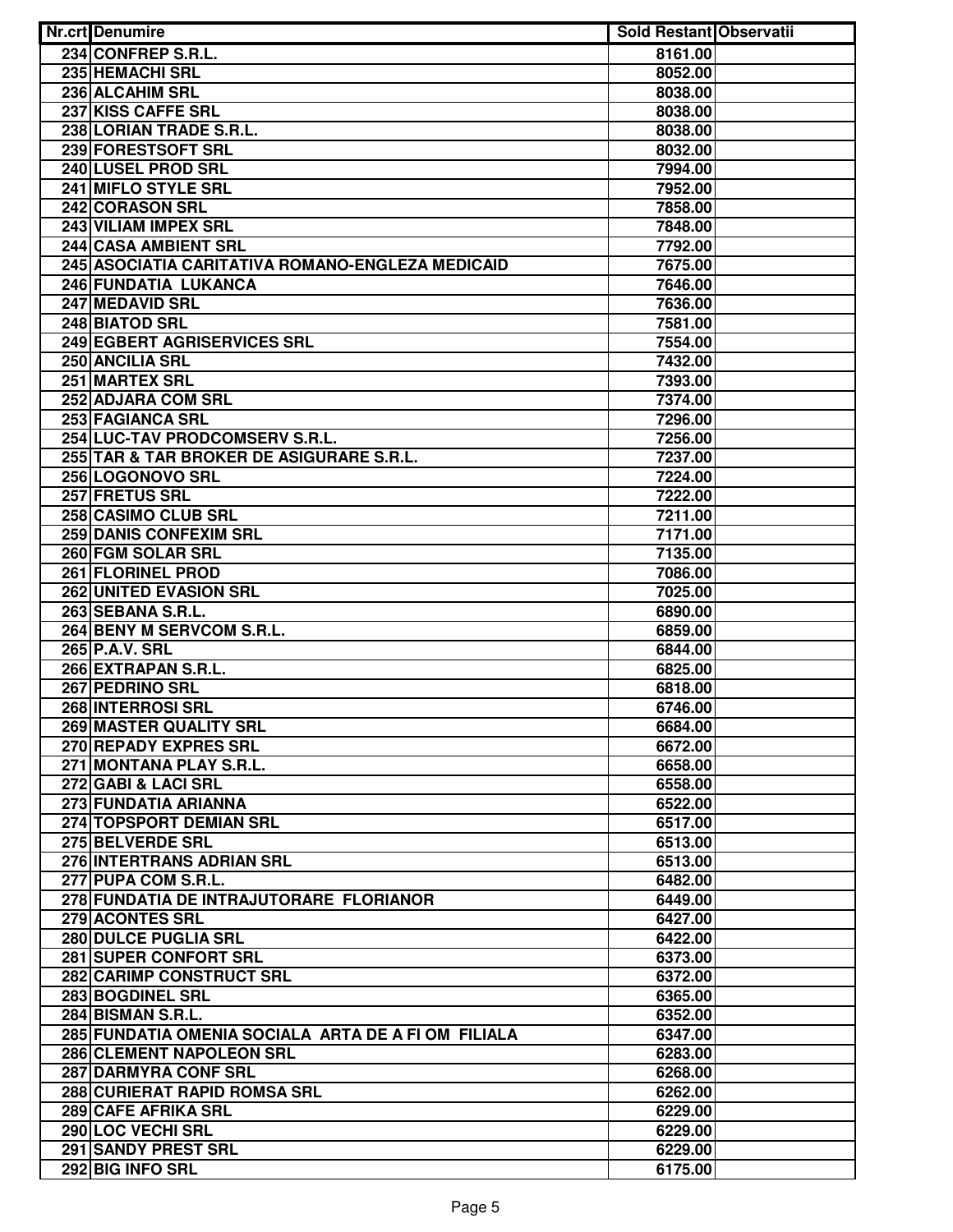| <b>Nr.crt</b> Denumire                              | <b>Sold Restant Observatii</b> |  |
|-----------------------------------------------------|--------------------------------|--|
| 234 CONFREP S.R.L.                                  | 8161.00                        |  |
| <b>235 HEMACHI SRL</b>                              | 8052.00                        |  |
| 236 ALCAHIM SRL                                     | 8038.00                        |  |
| 237 KISS CAFFE SRL                                  | 8038.00                        |  |
| 238 LORIAN TRADE S.R.L.                             | 8038.00                        |  |
| 239 FORESTSOFT SRL                                  | 8032.00                        |  |
| 240 LUSEL PROD SRL                                  | 7994.00                        |  |
| 241 MIFLO STYLE SRL                                 | 7952.00                        |  |
| <b>242 CORASON SRL</b>                              | 7858.00                        |  |
| <b>243 VILIAM IMPEX SRL</b>                         | 7848.00                        |  |
| 244 CASA AMBIENT SRL                                | 7792.00                        |  |
| 245 ASOCIATIA CARITATIVA ROMANO-ENGLEZA MEDICAID    | 7675.00                        |  |
| 246 FUNDATIA LUKANCA                                | 7646.00                        |  |
| 247 MEDAVID SRL                                     | 7636.00                        |  |
| 248 BIATOD SRL                                      | 7581.00                        |  |
| 249 EGBERT AGRISERVICES SRL                         | 7554.00                        |  |
| 250 ANCILIA SRL                                     | 7432.00                        |  |
| 251 MARTEX SRL                                      | 7393.00                        |  |
| 252 ADJARA COM SRL                                  | 7374.00                        |  |
| 253 FAGIANCA SRL                                    | 7296.00                        |  |
| 254 LUC-TAV PRODCOMSERV S.R.L.                      | 7256.00                        |  |
| 255 TAR & TAR BROKER DE ASIGURARE S.R.L.            | 7237.00                        |  |
| 256 LOGONOVO SRL                                    | 7224.00                        |  |
| 257 FRETUS SRL                                      | 7222.00                        |  |
| 258 CASIMO CLUB SRL                                 | 7211.00                        |  |
| <b>259 DANIS CONFEXIM SRL</b>                       | 7171.00                        |  |
| 260 FGM SOLAR SRL                                   | 7135.00                        |  |
| 261 FLORINEL PROD                                   | 7086.00                        |  |
| 262 UNITED EVASION SRL                              | 7025.00                        |  |
| 263 SEBANA S.R.L.                                   | 6890.00                        |  |
| 264 BENY M SERVCOM S.R.L.                           | 6859.00                        |  |
| 265 P.A.V. SRL                                      | 6844.00                        |  |
| 266 EXTRAPAN S.R.L.                                 | 6825.00                        |  |
| 267 PEDRINO SRL                                     | 6818.00                        |  |
| <b>268 INTERROSI SRL</b>                            | 6746.00                        |  |
| 269 MASTER QUALITY SRL                              | 6684.00                        |  |
| 270 REPADY EXPRES SRL                               | 6672.00                        |  |
| 271 MONTANA PLAY S.R.L.                             | 6658.00                        |  |
| 272 GABI & LACI SRL                                 | 6558.00                        |  |
| 273 FUNDATIA ARIANNA                                | 6522.00                        |  |
| 274 TOPSPORT DEMIAN SRL                             | 6517.00                        |  |
| 275 BELVERDE SRL                                    | 6513.00                        |  |
| 276 INTERTRANS ADRIAN SRL                           | 6513.00                        |  |
| 277 PUPA COM S.R.L.                                 | 6482.00                        |  |
| 278 FUNDATIA DE INTRAJUTORARE FLORIANOR             | 6449.00                        |  |
| 279 ACONTES SRL                                     | 6427.00                        |  |
| 280 DULCE PUGLIA SRL                                | 6422.00                        |  |
| 281 SUPER CONFORT SRL                               | 6373.00                        |  |
| 282 CARIMP CONSTRUCT SRL                            | 6372.00                        |  |
| 283 BOGDINEL SRL                                    | 6365.00                        |  |
| 284 BISMAN S.R.L.                                   | 6352.00                        |  |
| 285 FUNDATIA OMENIA SOCIALA ARTA DE A FI OM FILIALA | 6347.00                        |  |
| 286 CLEMENT NAPOLEON SRL                            | 6283.00                        |  |
| 287 DARMYRA CONF SRL                                | 6268.00                        |  |
| 288 CURIERAT RAPID ROMSA SRL                        | 6262.00                        |  |
| 289 CAFE AFRIKA SRL                                 | 6229.00                        |  |
| 290 LOC VECHI SRL                                   | 6229.00                        |  |
| 291 SANDY PREST SRL                                 | 6229.00                        |  |
| 292 BIG INFO SRL                                    | 6175.00                        |  |
|                                                     |                                |  |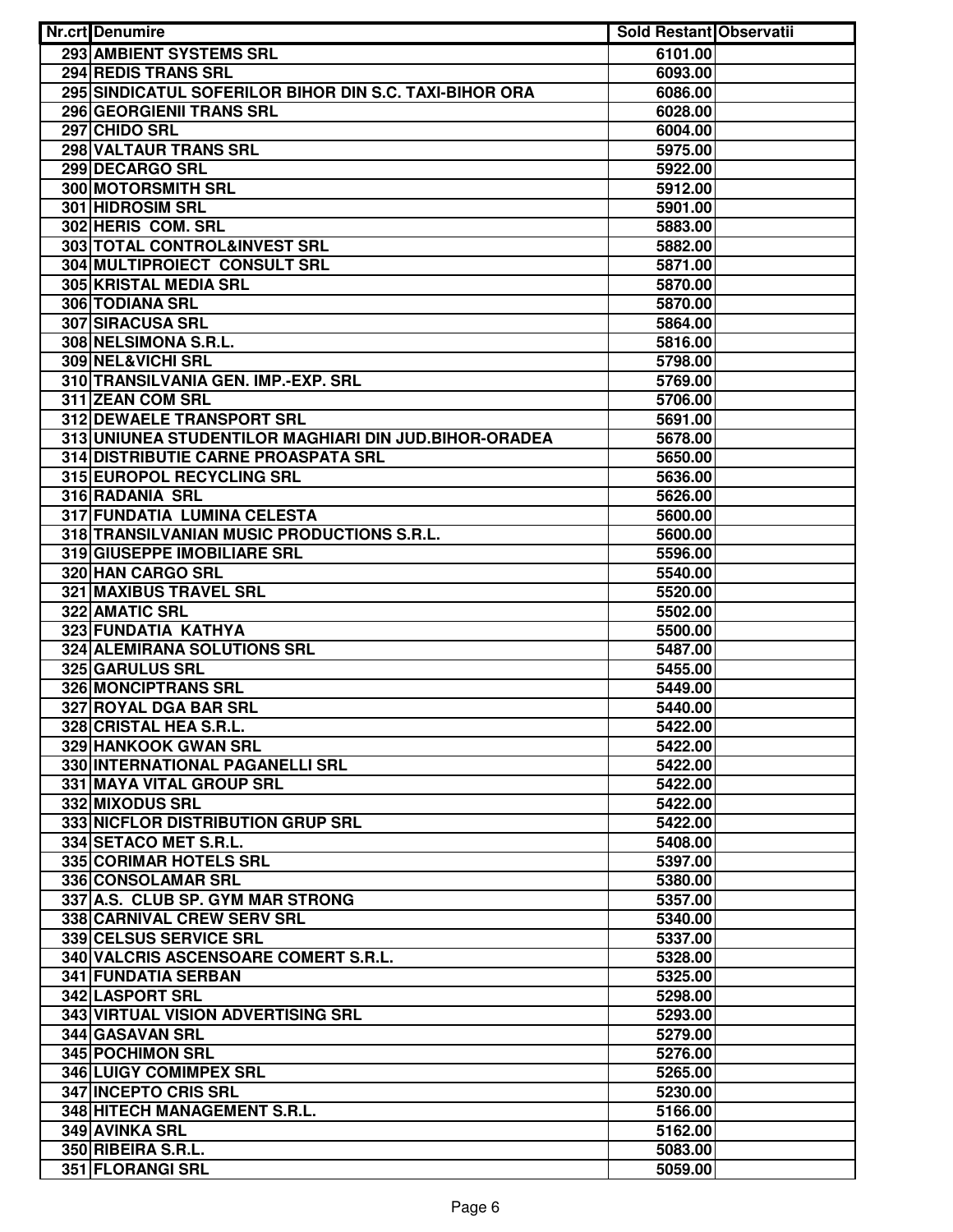| Nr.crt Denumire                                             | <b>Sold Restant Observatii</b> |  |
|-------------------------------------------------------------|--------------------------------|--|
| 293 AMBIENT SYSTEMS SRL                                     | 6101.00                        |  |
| 294 REDIS TRANS SRL                                         | 6093.00                        |  |
| 295 SINDICATUL SOFERILOR BIHOR DIN S.C. TAXI-BIHOR ORA      | 6086.00                        |  |
| 296 GEORGIENII TRANS SRL                                    | 6028.00                        |  |
| 297 CHIDO SRL                                               | 6004.00                        |  |
| 298 VALTAUR TRANS SRL                                       | 5975.00                        |  |
| 299 DECARGO SRL                                             | 5922.00                        |  |
| 300 MOTORSMITH SRL                                          | 5912.00                        |  |
| <b>301 HIDROSIM SRL</b>                                     | 5901.00                        |  |
| 302 HERIS COM. SRL                                          | 5883.00                        |  |
| 303 TOTAL CONTROL&INVEST SRL                                | 5882.00                        |  |
| 304 MULTIPROIECT CONSULT SRL                                | 5871.00                        |  |
| <b>305 KRISTAL MEDIA SRL</b>                                | 5870.00                        |  |
| 306 TODIANA SRL                                             | 5870.00                        |  |
| 307 SIRACUSA SRL                                            | 5864.00                        |  |
| 308 NELSIMONA S.R.L.                                        | 5816.00                        |  |
| 309 NEL&VICHI SRL                                           | 5798.00                        |  |
| 310 TRANSILVANIA GEN. IMP.-EXP. SRL                         | 5769.00                        |  |
| 311 ZEAN COM SRL                                            | 5706.00                        |  |
| 312 DEWAELE TRANSPORT SRL                                   | 5691.00                        |  |
| 313 UNIUNEA STUDENTILOR MAGHIARI DIN JUD. BIHOR-ORADEA      | 5678.00                        |  |
| <b>314 DISTRIBUTIE CARNE PROASPATA SRL</b>                  | 5650.00                        |  |
| 315 EUROPOL RECYCLING SRL                                   | 5636.00                        |  |
| 316 RADANIA SRL                                             | 5626.00                        |  |
| 317 FUNDATIA LUMINA CELESTA                                 | 5600.00                        |  |
| 318 TRANSILVANIAN MUSIC PRODUCTIONS S.R.L.                  |                                |  |
| 319 GIUSEPPE IMOBILIARE SRL                                 | 5600.00                        |  |
| 320 HAN CARGO SRL                                           | 5596.00                        |  |
|                                                             | 5540.00                        |  |
| 321 MAXIBUS TRAVEL SRL                                      | 5520.00                        |  |
| 322 AMATIC SRL                                              | 5502.00                        |  |
| 323 FUNDATIA KATHYA                                         | 5500.00                        |  |
| 324 ALEMIRANA SOLUTIONS SRL                                 | 5487.00                        |  |
| <b>325 GARULUS SRL</b>                                      | 5455.00                        |  |
| <b>326 MONCIPTRANS SRL</b>                                  | 5449.00                        |  |
| 327 ROYAL DGA BAR SRL                                       | 5440.00                        |  |
| 328 CRISTAL HEA S.R.L.                                      | 5422.00                        |  |
| 329 HANKOOK GWAN SRL                                        | 5422.00                        |  |
| 330 INTERNATIONAL PAGANELLI SRL<br>331 MAYA VITAL GROUP SRL | 5422.00                        |  |
|                                                             | 5422.00                        |  |
| 332 MIXODUS SRL                                             | 5422.00                        |  |
| 333 NICFLOR DISTRIBUTION GRUP SRL                           | 5422.00                        |  |
| 334 SETACO MET S.R.L.                                       | 5408.00                        |  |
| 335 CORIMAR HOTELS SRL                                      | 5397.00                        |  |
| 336 CONSOLAMAR SRL                                          | 5380.00                        |  |
| 337 A.S. CLUB SP. GYM MAR STRONG                            | 5357.00                        |  |
| 338 CARNIVAL CREW SERV SRL                                  | 5340.00                        |  |
| 339 CELSUS SERVICE SRL                                      | 5337.00                        |  |
| 340 VALCRIS ASCENSOARE COMERT S.R.L.                        | 5328.00                        |  |
| <b>341 FUNDATIA SERBAN</b>                                  | 5325.00                        |  |
| 342 LASPORT SRL                                             | 5298.00                        |  |
| 343 VIRTUAL VISION ADVERTISING SRL                          | 5293.00                        |  |
| 344 GASAVAN SRL                                             | 5279.00                        |  |
| 345 POCHIMON SRL                                            | 5276.00                        |  |
| 346 LUIGY COMIMPEX SRL                                      | 5265.00                        |  |
| 347 INCEPTO CRIS SRL                                        | 5230.00                        |  |
| 348 HITECH MANAGEMENT S.R.L.                                | 5166.00                        |  |
| 349 AVINKA SRL                                              | 5162.00                        |  |
| 350 RIBEIRA S.R.L.                                          | 5083.00                        |  |
| 351 FLORANGI SRL                                            | 5059.00                        |  |